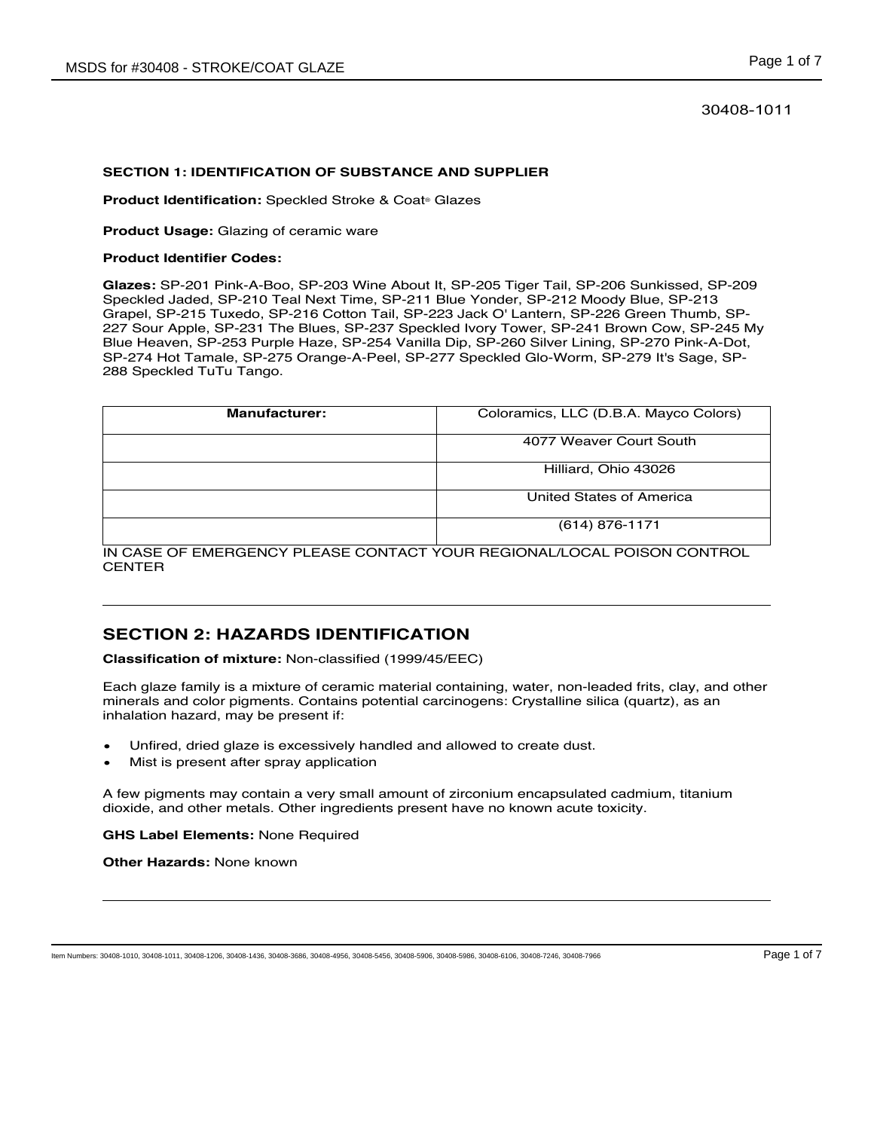### 30408-1011

#### **SECTION 1: IDENTIFICATION OF SUBSTANCE AND SUPPLIER**

**Product Identification:** Speckled Stroke & Coat® Glazes

**Product Usage:** Glazing of ceramic ware

#### **Product Identifier Codes:**

**Glazes:** SP-201 Pink-A-Boo, SP-203 Wine About It, SP-205 Tiger Tail, SP-206 Sunkissed, SP-209 Speckled Jaded, SP-210 Teal Next Time, SP-211 Blue Yonder, SP-212 Moody Blue, SP-213 Grapel, SP-215 Tuxedo, SP-216 Cotton Tail, SP-223 Jack O' Lantern, SP-226 Green Thumb, SP-227 Sour Apple, SP-231 The Blues, SP-237 Speckled Ivory Tower, SP-241 Brown Cow, SP-245 My Blue Heaven, SP-253 Purple Haze, SP-254 Vanilla Dip, SP-260 Silver Lining, SP-270 Pink-A-Dot, SP-274 Hot Tamale, SP-275 Orange-A-Peel, SP-277 Speckled Glo-Worm, SP-279 It's Sage, SP-288 Speckled TuTu Tango.

| <b>Manufacturer:</b> | Coloramics, LLC (D.B.A. Mayco Colors) |
|----------------------|---------------------------------------|
|                      | 4077 Weaver Court South               |
|                      | Hilliard, Ohio 43026                  |
|                      | United States of America              |
|                      | $(614)$ 876-1171                      |

IN CASE OF EMERGENCY PLEASE CONTACT YOUR REGIONAL/LOCAL POISON CONTROL **CENTER** 

## **SECTION 2: HAZARDS IDENTIFICATION**

**Classification of mixture:** Non-classified (1999/45/EEC)

Each glaze family is a mixture of ceramic material containing, water, non-leaded frits, clay, and other minerals and color pigments. Contains potential carcinogens: Crystalline silica (quartz), as an inhalation hazard, may be present if:

- Unfired, dried glaze is excessively handled and allowed to create dust.
- Mist is present after spray application

A few pigments may contain a very small amount of zirconium encapsulated cadmium, titanium dioxide, and other metals. Other ingredients present have no known acute toxicity.

**GHS Label Elements:** None Required

**Other Hazards:** None known

Item Numbers: 30408-1010, 30408-1011, 30408-1206, 30408-1436, 30408-3686, 30408-4956, 30408-5456, 30408-5906, 30408-5986, 30408-6106, 30408-7246, 30408-7966 Page 1 of 7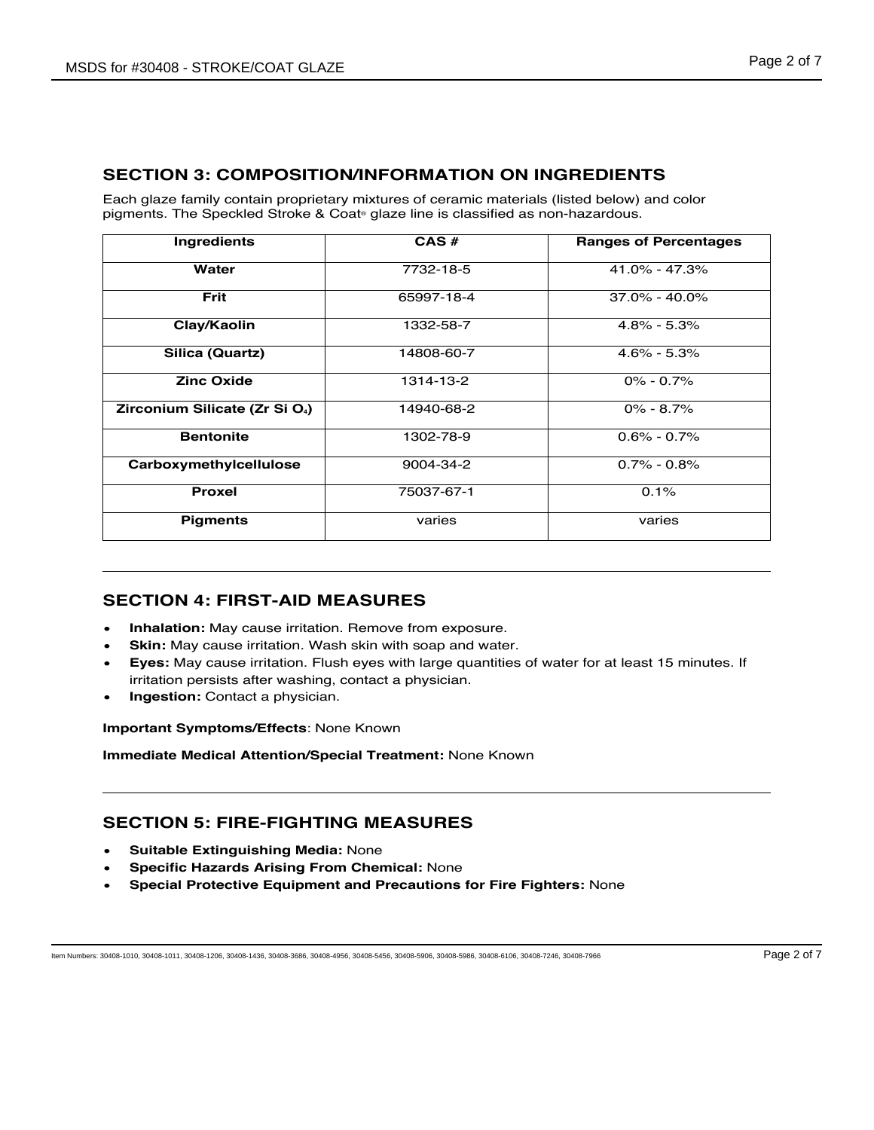## **SECTION 3: COMPOSITION/INFORMATION ON INGREDIENTS**

Each glaze family contain proprietary mixtures of ceramic materials (listed below) and color pigments. The Speckled Stroke & Coat® glaze line is classified as non-hazardous.

| Ingredients                                | CAS#       | <b>Ranges of Percentages</b> |
|--------------------------------------------|------------|------------------------------|
| Water                                      | 7732-18-5  | 41.0% - 47.3%                |
| <b>Frit</b>                                | 65997-18-4 | $37.0\% - 40.0\%$            |
| Clay/Kaolin                                | 1332-58-7  | $4.8\% - 5.3\%$              |
| Silica (Quartz)                            | 14808-60-7 | $4.6\% - 5.3\%$              |
| <b>Zinc Oxide</b>                          | 1314-13-2  | $0\% - 0.7\%$                |
| Zirconium Silicate (Zr Si O <sub>4</sub> ) | 14940-68-2 | $0\% - 8.7\%$                |
| <b>Bentonite</b>                           | 1302-78-9  | $0.6\% - 0.7\%$              |
| Carboxymethylcellulose                     | 9004-34-2  | $0.7\% - 0.8\%$              |
| <b>Proxel</b>                              | 75037-67-1 | 0.1%                         |
| <b>Pigments</b>                            | varies     | varies                       |

## **SECTION 4: FIRST-AID MEASURES**

- **Inhalation:** May cause irritation. Remove from exposure.
- **Skin:** May cause irritation. Wash skin with soap and water.
- **Eyes:** May cause irritation. Flush eyes with large quantities of water for at least 15 minutes. If irritation persists after washing, contact a physician.
- **Ingestion:** Contact a physician.

**Important Symptoms/Effects**: None Known

**Immediate Medical Attention/Special Treatment:** None Known

## **SECTION 5: FIRE-FIGHTING MEASURES**

- **Suitable Extinguishing Media:** None
- **Specific Hazards Arising From Chemical:** None
- **Special Protective Equipment and Precautions for Fire Fighters:** None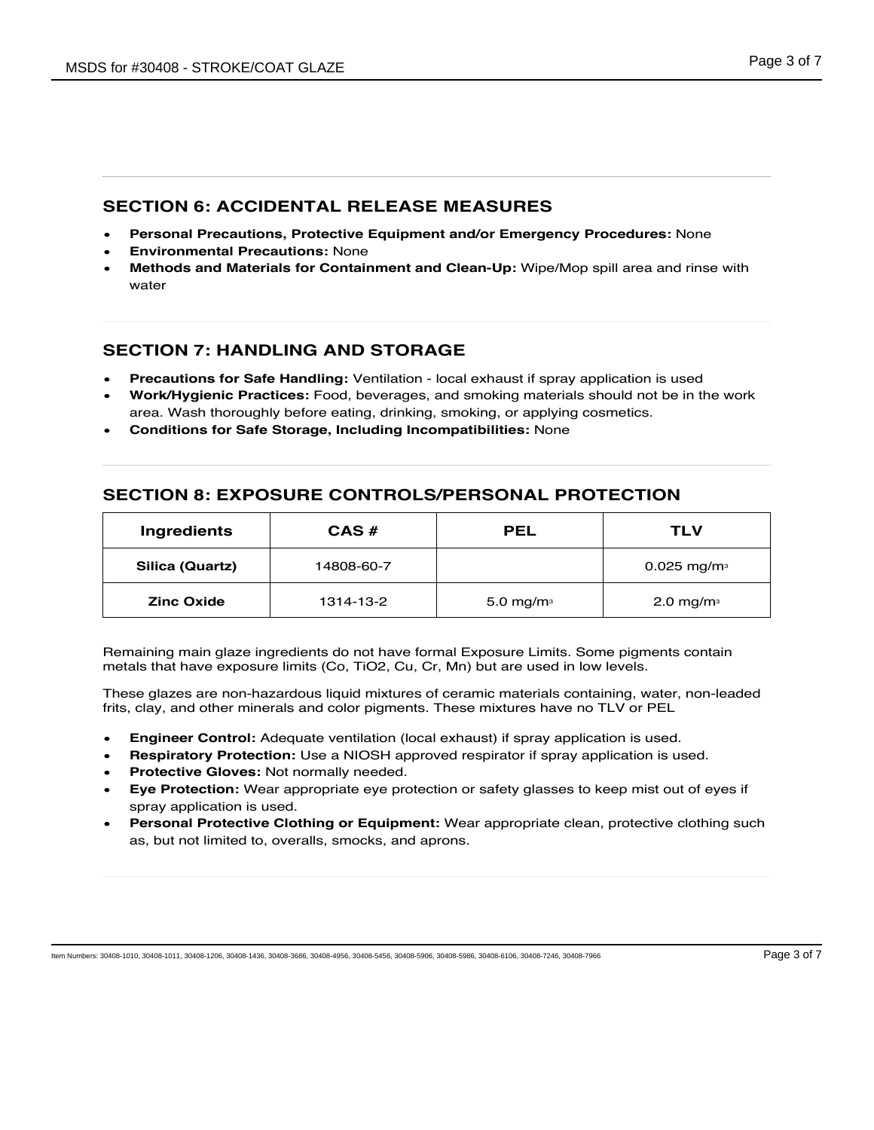### **SECTION 6: ACCIDENTAL RELEASE MEASURES**

- **Personal Precautions, Protective Equipment and/or Emergency Procedures:** None
- **Environmental Precautions:** None
- **Methods and Materials for Containment and Clean-Up:** Wipe/Mop spill area and rinse with water

## **SECTION 7: HANDLING AND STORAGE**

- **Precautions for Safe Handling:** Ventilation local exhaust if spray application is used
- **Work/Hygienic Practices:** Food, beverages, and smoking materials should not be in the work area. Wash thoroughly before eating, drinking, smoking, or applying cosmetics.
- **Conditions for Safe Storage, Including Incompatibilities:** None

## **SECTION 8: EXPOSURE CONTROLS/PERSONAL PROTECTION**

| Ingredients       | CAS#       | <b>PEL</b>             | TLV                       |
|-------------------|------------|------------------------|---------------------------|
| Silica (Quartz)   | 14808-60-7 |                        | $0.025$ mg/m <sup>3</sup> |
| <b>Zinc Oxide</b> | 1314-13-2  | 5.0 mg/m $\frac{3}{3}$ | 2.0 mg/m $\frac{3}{3}$    |

Remaining main glaze ingredients do not have formal Exposure Limits. Some pigments contain metals that have exposure limits (Co, TiO2, Cu, Cr, Mn) but are used in low levels.

These glazes are non-hazardous liquid mixtures of ceramic materials containing, water, non-leaded frits, clay, and other minerals and color pigments. These mixtures have no TLV or PEL

- **Engineer Control:** Adequate ventilation (local exhaust) if spray application is used.
- **Respiratory Protection:** Use a NIOSH approved respirator if spray application is used.
- **Protective Gloves:** Not normally needed.
- **Eye Protection:** Wear appropriate eye protection or safety glasses to keep mist out of eyes if spray application is used.
- **Personal Protective Clothing or Equipment:** Wear appropriate clean, protective clothing such as, but not limited to, overalls, smocks, and aprons.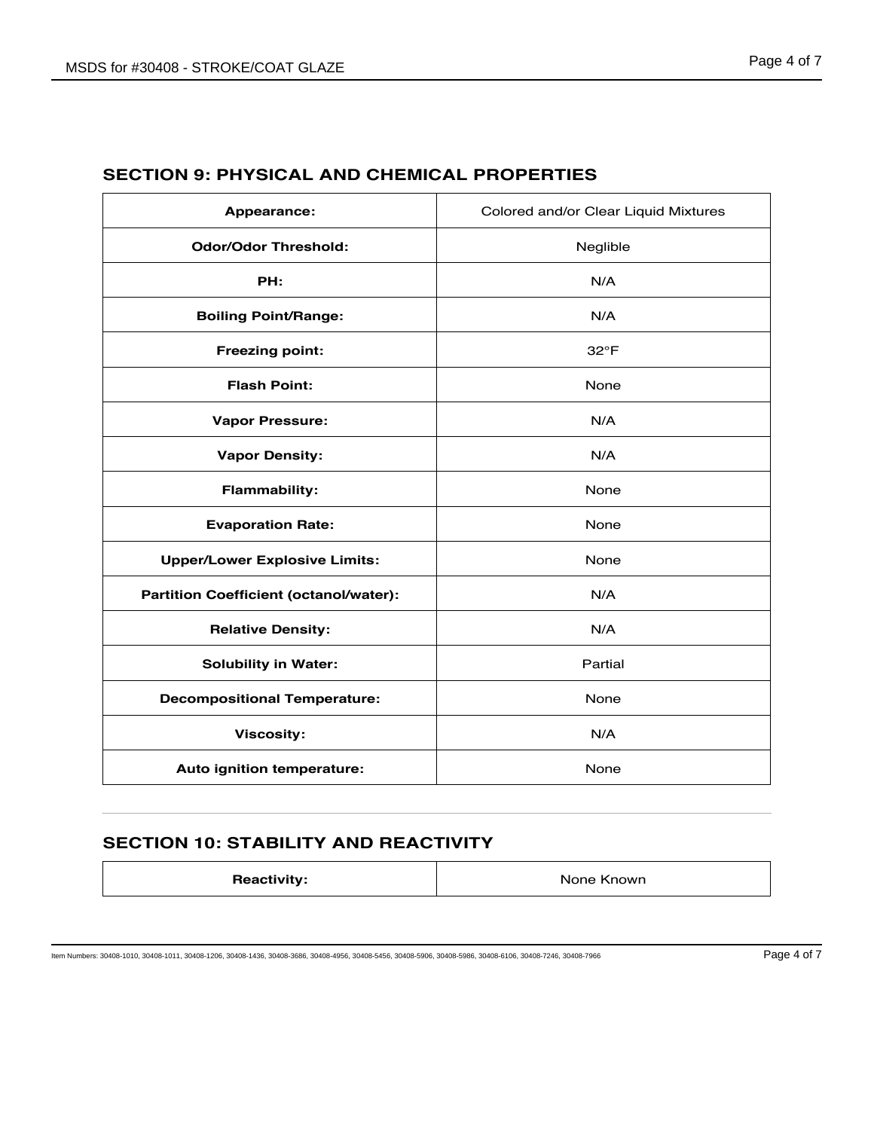| Appearance:                                   | Colored and/or Clear Liquid Mixtures |
|-----------------------------------------------|--------------------------------------|
| <b>Odor/Odor Threshold:</b>                   | Neglible                             |
| PH:                                           | N/A                                  |
| <b>Boiling Point/Range:</b>                   | N/A                                  |
| <b>Freezing point:</b>                        | $32^{\circ}F$                        |
| <b>Flash Point:</b>                           | None                                 |
| <b>Vapor Pressure:</b>                        | N/A                                  |
| <b>Vapor Density:</b>                         | N/A                                  |
| <b>Flammability:</b>                          | None                                 |
| <b>Evaporation Rate:</b>                      | None                                 |
| <b>Upper/Lower Explosive Limits:</b>          | None                                 |
| <b>Partition Coefficient (octanol/water):</b> | N/A                                  |
| <b>Relative Density:</b>                      | N/A                                  |
| <b>Solubility in Water:</b>                   | Partial                              |
| <b>Decompositional Temperature:</b>           | None                                 |
| <b>Viscosity:</b>                             | N/A                                  |
| Auto ignition temperature:                    | None                                 |

# **SECTION 9: PHYSICAL AND CHEMICAL PROPERTIES**

# **SECTION 10: STABILITY AND REACTIVITY**

| <b>Reactivity:</b> | None Known |
|--------------------|------------|
|                    |            |

Item Numbers: 30408-1010, 30408-1011, 30408-1206, 30408-1436, 30408-3686, 30408-4956, 30408-5456, 30408-5906, 30408-5986, 30408-6106, 30408-7246, 30408-7966 Page 4 of 7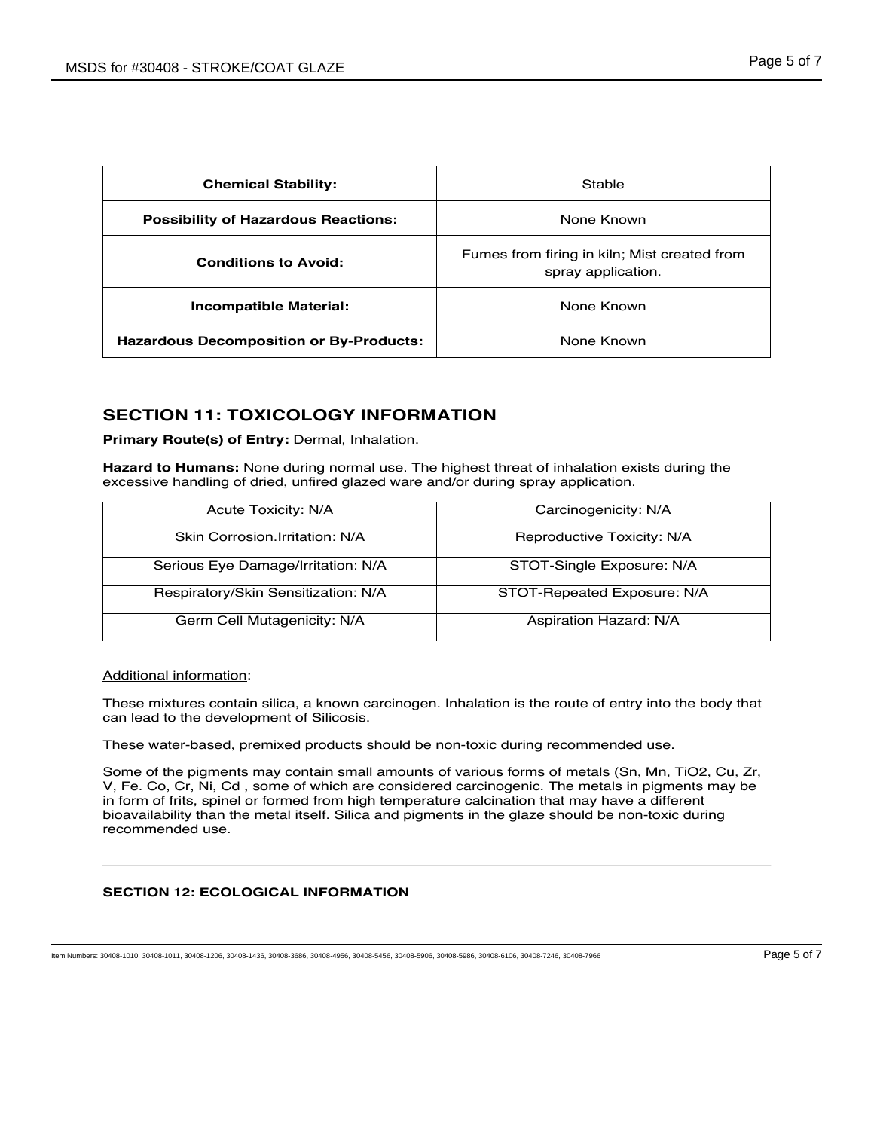| <b>Chemical Stability:</b>                     | Stable                                                             |
|------------------------------------------------|--------------------------------------------------------------------|
| <b>Possibility of Hazardous Reactions:</b>     | None Known                                                         |
| <b>Conditions to Avoid:</b>                    | Fumes from firing in kiln; Mist created from<br>spray application. |
| <b>Incompatible Material:</b>                  | None Known                                                         |
| <b>Hazardous Decomposition or By-Products:</b> | None Known                                                         |

## **SECTION 11: TOXICOLOGY INFORMATION**

**Primary Route(s) of Entry:** Dermal, Inhalation.

**Hazard to Humans:** None during normal use. The highest threat of inhalation exists during the excessive handling of dried, unfired glazed ware and/or during spray application.

| <b>Acute Toxicity: N/A</b>          | Carcinogenicity: N/A        |
|-------------------------------------|-----------------------------|
| Skin Corrosion Irritation: N/A      | Reproductive Toxicity: N/A  |
| Serious Eye Damage/Irritation: N/A  | STOT-Single Exposure: N/A   |
| Respiratory/Skin Sensitization: N/A | STOT-Repeated Exposure: N/A |
| Germ Cell Mutagenicity: N/A         | Aspiration Hazard: N/A      |

#### Additional information:

These mixtures contain silica, a known carcinogen. Inhalation is the route of entry into the body that can lead to the development of Silicosis.

These water-based, premixed products should be non-toxic during recommended use.

Some of the pigments may contain small amounts of various forms of metals (Sn, Mn, TiO2, Cu, Zr, V, Fe. Co, Cr, Ni, Cd , some of which are considered carcinogenic. The metals in pigments may be in form of frits, spinel or formed from high temperature calcination that may have a different bioavailability than the metal itself. Silica and pigments in the glaze should be non-toxic during recommended use.

### **SECTION 12: ECOLOGICAL INFORMATION**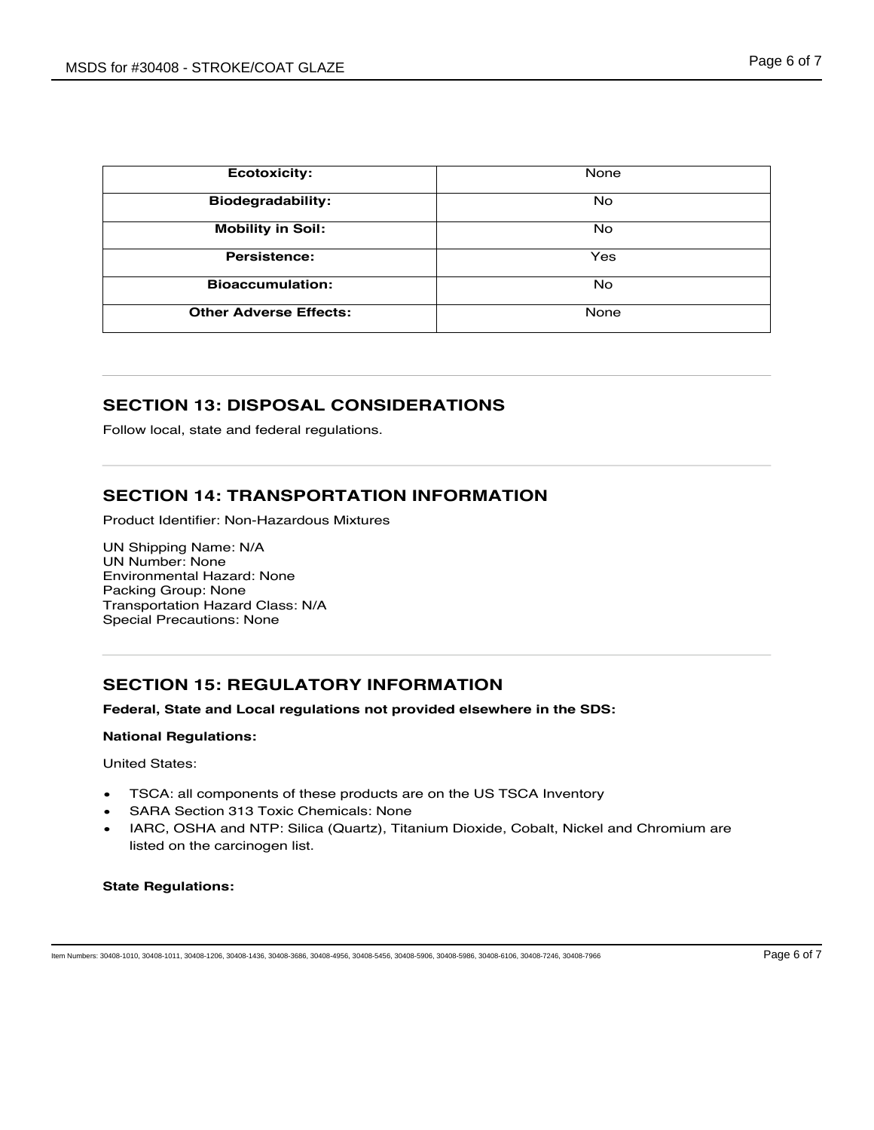| <b>Ecotoxicity:</b>           | <b>None</b> |
|-------------------------------|-------------|
| <b>Biodegradability:</b>      | <b>No</b>   |
| <b>Mobility in Soil:</b>      | <b>No</b>   |
| Persistence:                  | Yes         |
| <b>Bioaccumulation:</b>       | <b>No</b>   |
| <b>Other Adverse Effects:</b> | <b>None</b> |

## **SECTION 13: DISPOSAL CONSIDERATIONS**

Follow local, state and federal regulations.

## **SECTION 14: TRANSPORTATION INFORMATION**

Product Identifier: Non-Hazardous Mixtures

UN Shipping Name: N/A UN Number: None Environmental Hazard: None Packing Group: None Transportation Hazard Class: N/A Special Precautions: None

## **SECTION 15: REGULATORY INFORMATION**

#### **Federal, State and Local regulations not provided elsewhere in the SDS:**

#### **National Regulations:**

United States:

- TSCA: all components of these products are on the US TSCA Inventory
- SARA Section 313 Toxic Chemicals: None
- IARC, OSHA and NTP: Silica (Quartz), Titanium Dioxide, Cobalt, Nickel and Chromium are listed on the carcinogen list.

#### **State Regulations:**